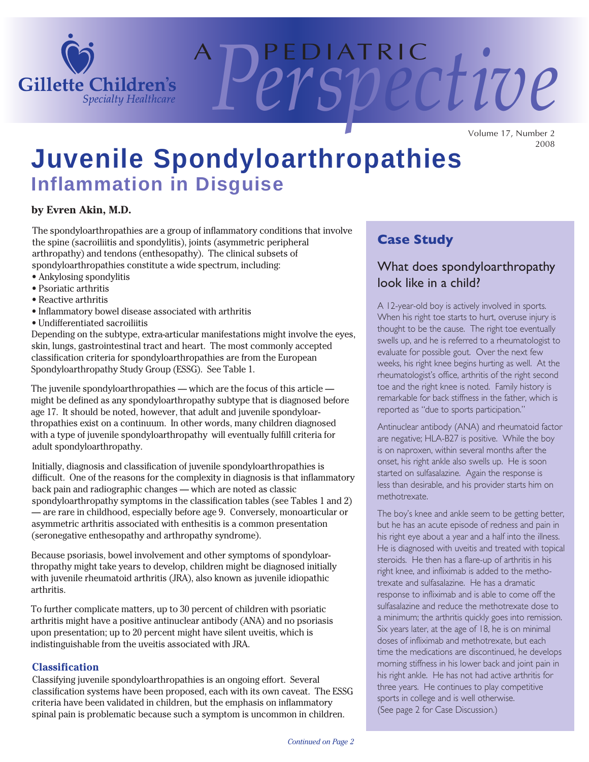

Volume 17, Number 2 2008

A P E D I AT R I C *Perspective*

# **Juvenile Spondyloarthropathies Inflammation in Disguise**

#### **by Evren Akin, M.D.**

the spine (sacroiliitis and spondylitis), joints (asymmetric peripheral arthropathy) and tendons (enthesopathy). The clinical subsets of The spondyloarthropathies are a group of inflammatory conditions that involve spondyloarthropathies constitute a wide spectrum, including:

- Ankylosing spondylitis
- Psoriatic arthritis
- Reactive arthritis
- Inflammatory bowel disease associated with arthritis
- Undifferentiated sacroiliitis

Depending on the subtype, extra-articular manifestations might involve the eyes, skin, lungs, gastrointestinal tract and heart. The most commonly accepted classification criteria for spondyloarthropathies are from the European Spondyloarthropathy Study Group (ESSG). See Table 1.

The juvenile spondyloarthropathies — which are the focus of this article might be defined as any spondyloarthropathy subtype that is diagnosed before age 17. It should be noted, however, that adult and juvenile spondyloarthropathies exist on a continuum. In other words, many children diagnosed with a type of juvenile spondyloarthropathy will eventually fulfill criteria for adult spondyloarthropathy.

Initially, diagnosis and classification of juvenile spondyloarthropathies is difficult. One of the reasons for the complexity in diagnosis is that inflammatory back pain and radiographic changes — which are noted as classic spondyloarthropathy symptoms in the classification tables (see Tables 1 and 2) — are rare in childhood, especially before age 9. Conversely, monoarticular or asymmetric arthritis associated with enthesitis is a common presentation (seronegative enthesopathy and arthropathy syndrome).

Because psoriasis, bowel involvement and other symptoms of spondyloarthropathy might take years to develop, children might be diagnosed initially with juvenile rheumatoid arthritis (JRA), also known as juvenile idiopathic arthritis.

To further complicate matters, up to 30 percent of children with psoriatic arthritis might have a positive antinuclear antibody (ANA) and no psoriasis upon presentation; up to 20 percent might have silent uveitis, which is indistinguishable from the uveitis associated with JRA.

#### **Classification**

Classifying juvenile spondyloarthropathies is an ongoing effort. Several classification systems have been proposed, each with its own caveat. The ESSG criteria have been validated in children, but the emphasis on inflammatory spinal pain is problematic because such a symptom is uncommon in children.

# **Case Study**

# What does spondyloarthropathy look like in a child?

A 12-year-old boy is actively involved in sports. When his right toe starts to hurt, overuse injury is thought to be the cause. The right toe eventually swells up, and he is referred to a rheumatologist to evaluate for possible gout. Over the next few weeks, his right knee begins hurting as well. At the rheumatologist's office, arthritis of the right second toe and the right knee is noted. Family history is remarkable for back stiffness in the father, which is reported as "due to sports participation."

Antinuclear antibody (ANA) and rheumatoid factor are negative; HLA-B27 is positive. While the boy is on naproxen, within several months after the onset, his right ankle also swells up. He is soon started on sulfasalazine. Again the response is less than desirable, and his provider starts him on methotrexate.

The boy's knee and ankle seem to be getting better, but he has an acute episode of redness and pain in his right eye about a year and a half into the illness. He is diagnosed with uveitis and treated with topical steroids. He then has a flare-up of arthritis in his right knee, and infliximab is added to the methotrexate and sulfasalazine. He has a dramatic response to infliximab and is able to come off the sulfasalazine and reduce the methotrexate dose to a minimum; the arthritis quickly goes into remission. Six years later, at the age of 18, he is on minimal doses of infliximab and methotrexate, but each time the medications are discontinued, he develops morning stiffness in his lower back and joint pain in his right ankle. He has not had active arthritis for three years. He continues to play competitive sports in college and is well otherwise. (See page 2 for Case Discussion.)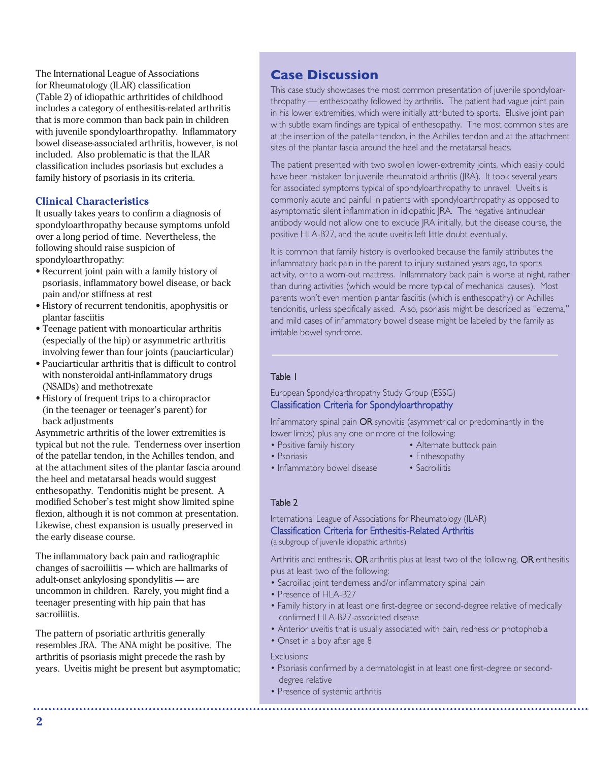The International League of Associations for Rheumatology (ILAR) classification (Table 2) of idiopathic arthritides of childhood includes a category of enthesitis-related arthritis that is more common than back pain in children with juvenile spondyloarthropathy. Inflammatory bowel disease-associated arthritis, however, is not included. Also problematic is that the ILAR classification includes psoriasis but excludes a family history of psoriasis in its criteria.

#### **Clinical Characteristics**

It usually takes years to confirm a diagnosis of spondyloarthropathy because symptoms unfold over a long period of time. Nevertheless, the following should raise suspicion of spondyloarthropathy:

- Recurrent joint pain with a family history of psoriasis, inflammatory bowel disease, or back pain and/or stiffness at rest
- History of recurrent tendonitis, apophysitis or plantar fasciitis
- Teenage patient with monoarticular arthritis (especially of the hip) or asymmetric arthritis involving fewer than four joints (pauciarticular)
- Pauciarticular arthritis that is difficult to control with nonsteroidal anti-inflammatory drugs (NSAIDs) and methotrexate
- History of frequent trips to a chiropractor (in the teenager or teenager's parent) for back adjustments

Asymmetric arthritis of the lower extremities is typical but not the rule. Tenderness over insertion of the patellar tendon, in the Achilles tendon, and at the attachment sites of the plantar fascia around the heel and metatarsal heads would suggest enthesopathy. Tendonitis might be present. A modified Schober's test might show limited spine flexion, although it is not common at presentation. Likewise, chest expansion is usually preserved in the early disease course.

The inflammatory back pain and radiographic changes of sacroiliitis — which are hallmarks of adult-onset ankylosing spondylitis — are uncommon in children. Rarely, you might find a teenager presenting with hip pain that has sacroiliitis.

The pattern of psoriatic arthritis generally resembles JRA. The ANA might be positive. The arthritis of psoriasis might precede the rash by years. Uveitis might be present but asymptomatic;

## **Case Discussion**

This case study showcases the most common presentation of juvenile spondyloarthropathy — enthesopathy followed by arthritis. The patient had vague joint pain in his lower extremities, which were initially attributed to sports. Elusive joint pain with subtle exam findings are typical of enthesopathy. The most common sites are at the insertion of the patellar tendon, in the Achilles tendon and at the attachment sites of the plantar fascia around the heel and the metatarsal heads.

The patient presented with two swollen lower-extremity joints, which easily could have been mistaken for juvenile rheumatoid arthritis (JRA). It took several years for associated symptoms typical of spondyloarthropathy to unravel. Uveitis is commonly acute and painful in patients with spondyloarthropathy as opposed to asymptomatic silent inflammation in idiopathic JRA. The negative antinuclear antibody would not allow one to exclude JRA initially, but the disease course, the positive HLA-B27, and the acute uveitis left little doubt eventually.

It is common that family history is overlooked because the family attributes the inflammatory back pain in the parent to injury sustained years ago, to sports activity, or to a worn-out mattress. Inflammatory back pain is worse at night, rather than during activities (which would be more typical of mechanical causes). Most parents won't even mention plantar fasciitis (which is enthesopathy) or Achilles tendonitis, unless specifically asked. Also, psoriasis might be described as "eczema," and mild cases of inflammatory bowel disease might be labeled by the family as irritable bowel syndrome.

#### Table 1

European Spondyloarthropathy Study Group (ESSG) Classification Criteria for Spondyloarthropathy

Inflammatory spinal pain OR synovitis (asymmetrical or predominantly in the lower limbs) plus any one or more of the following:

- Positive family history Alternate buttock pain
- Psoriasis **Provides** Enthesopathy
- -
- Inflammatory bowel disease Sacroiliitis

#### Table 2

International League of Associations for Rheumatology (ILAR) Classification Criteria for Enthesitis-Related Arthritis (a subgroup of juvenile idiopathic arthritis)

Arthritis and enthesitis, OR arthritis plus at least two of the following, OR enthesitis plus at least two of the following:

- Sacroiliac joint tenderness and/or inflammatory spinal pain
- Presence of HLA-B27
- Family history in at least one first-degree or second-degree relative of medically confirmed HLA-B27-associated disease
- Anterior uveitis that is usually associated with pain, redness or photophobia
- Onset in a boy after age 8

#### Exclusions:

- Psoriasis confirmed by a dermatologist in at least one first-degree or seconddegree relative
- Presence of systemic arthritis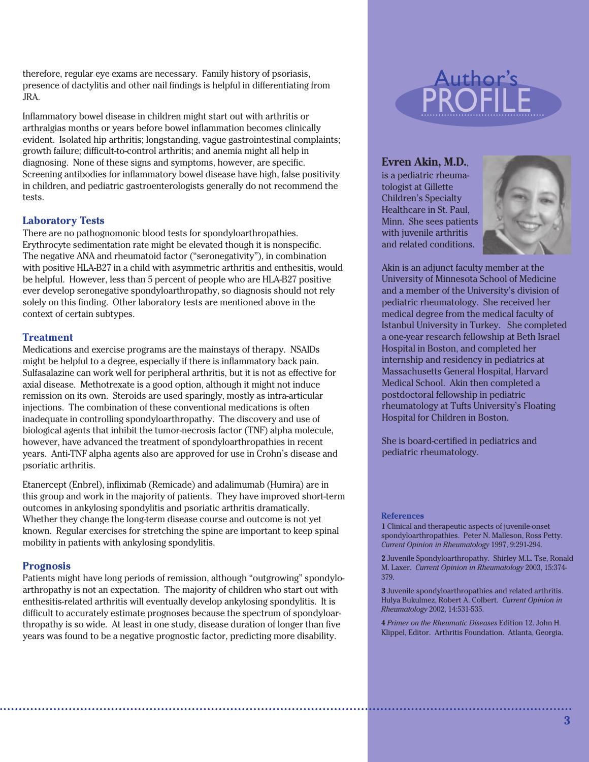therefore, regular eye exams are necessary. Family history of psoriasis, presence of dactylitis and other nail findings is helpful in differentiating from JRA.

Inflammatory bowel disease in children might start out with arthritis or arthralgias months or years before bowel inflammation becomes clinically evident. Isolated hip arthritis; longstanding, vague gastrointestinal complaints; growth failure; difficult-to-control arthritis; and anemia might all help in diagnosing. None of these signs and symptoms, however, are specific. Screening antibodies for inflammatory bowel disease have high, false positivity in children, and pediatric gastroenterologists generally do not recommend the tests.

#### **Laboratory Tests**

There are no pathognomonic blood tests for spondyloarthropathies. Erythrocyte sedimentation rate might be elevated though it is nonspecific. The negative ANA and rheumatoid factor ("seronegativity"), in combination with positive HLA-B27 in a child with asymmetric arthritis and enthesitis, would be helpful. However, less than 5 percent of people who are HLA-B27 positive ever develop seronegative spondyloarthropathy, so diagnosis should not rely solely on this finding. Other laboratory tests are mentioned above in the context of certain subtypes.

#### **Treatment**

Medications and exercise programs are the mainstays of therapy. NSAIDs might be helpful to a degree, especially if there is inflammatory back pain. Sulfasalazine can work well for peripheral arthritis, but it is not as effective for axial disease. Methotrexate is a good option, although it might not induce remission on its own. Steroids are used sparingly, mostly as intra-articular injections. The combination of these conventional medications is often inadequate in controlling spondyloarthropathy. The discovery and use of biological agents that inhibit the tumor-necrosis factor (TNF) alpha molecule, however, have advanced the treatment of spondyloarthropathies in recent years. Anti-TNF alpha agents also are approved for use in Crohn's disease and psoriatic arthritis.

Etanercept (Enbrel), infliximab (Remicade) and adalimumab (Humira) are in this group and work in the majority of patients. They have improved short-term outcomes in ankylosing spondylitis and psoriatic arthritis dramatically. Whether they change the long-term disease course and outcome is not yet known. Regular exercises for stretching the spine are important to keep spinal mobility in patients with ankylosing spondylitis.

#### **Prognosis**

Patients might have long periods of remission, although "outgrowing" spondyloarthropathy is not an expectation. The majority of children who start out with enthesitis-related arthritis will eventually develop ankylosing spondylitis. It is difficult to accurately estimate prognoses because the spectrum of spondyloarthropathy is so wide. At least in one study, disease duration of longer than five years was found to be a negative prognostic factor, predicting more disability.



#### **Evren Akin, M.D.**,

is a pediatric rheumatologist at Gillette Children's Specialty Healthcare in St. Paul, Minn. She sees patients with juvenile arthritis and related conditions.



Akin is an adjunct faculty member at the University of Minnesota School of Medicine and a member of the University's division of pediatric rheumatology. She received her medical degree from the medical faculty of Istanbul University in Turkey. She completed a one-year research fellowship at Beth Israel Hospital in Boston, and completed her internship and residency in pediatrics at Massachusetts General Hospital, Harvard Medical School. Akin then completed a postdoctoral fellowship in pediatric rheumatology at Tufts University's Floating Hospital for Children in Boston.

She is board-certified in pediatrics and pediatric rheumatology.

#### **References**

**1** Clinical and therapeutic aspects of juvenile-onset spondyloarthropathies. Peter N. Malleson, Ross Petty. *Current Opinion in Rheumatology* 1997, 9:291-294.

**2** Juvenile Spondyloarthropathy. Shirley M.L. Tse, Ronald M. Laxer. *Current Opinion in Rheumatology* 2003, 15:374- 379.

**3** Juvenile spondyloarthropathies and related arthritis. Hulya Bukulmez, Robert A. Colbert. *Current Opinion in Rheumatology* 2002, 14:531-535.

**4** *Primer on the Rheumatic Diseases* Edition 12. John H. Klippel, Editor. Arthritis Foundation. Atlanta, Georgia.